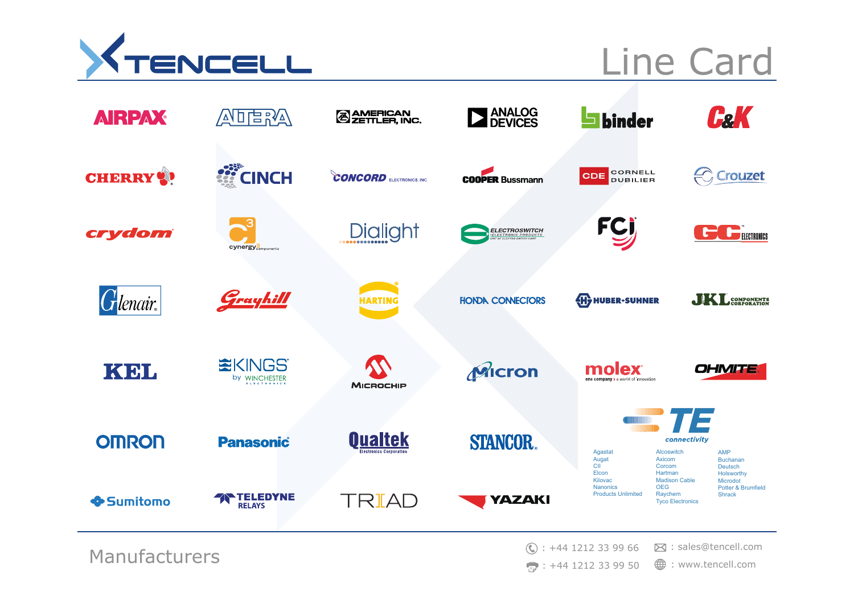

## Line Card